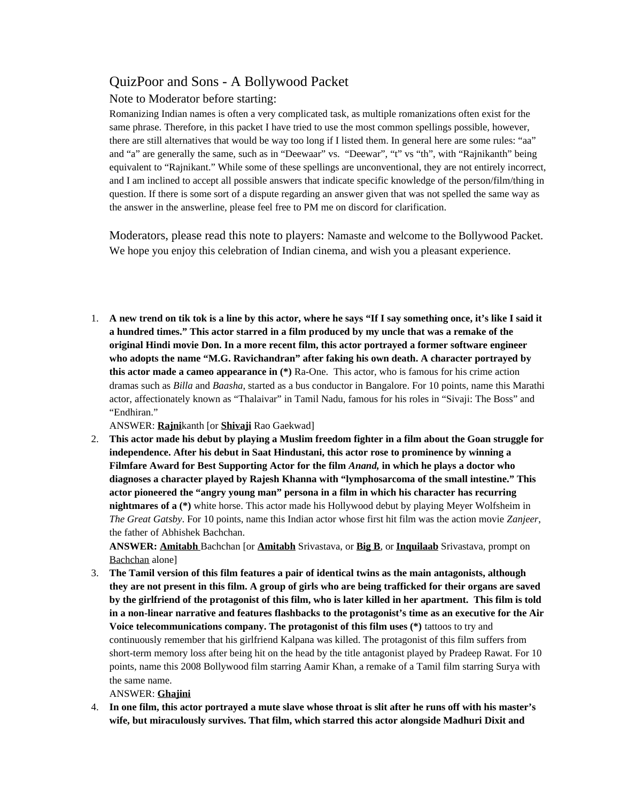## QuizPoor and Sons - A Bollywood Packet

## Note to Moderator before starting:

Romanizing Indian names is often a very complicated task, as multiple romanizations often exist for the same phrase. Therefore, in this packet I have tried to use the most common spellings possible, however, there are still alternatives that would be way too long if I listed them. In general here are some rules: "aa" and "a" are generally the same, such as in "Deewaar" vs. "Deewar", "t" vs "th", with "Rajnikanth" being equivalent to "Rajnikant." While some of these spellings are unconventional, they are not entirely incorrect, and I am inclined to accept all possible answers that indicate specific knowledge of the person/film/thing in question. If there is some sort of a dispute regarding an answer given that was not spelled the same way as the answer in the answerline, please feel free to PM me on discord for clarification.

Moderators, please read this note to players: Namaste and welcome to the Bollywood Packet. We hope you enjoy this celebration of Indian cinema, and wish you a pleasant experience.

1. **A new trend on tik tok is a line by this actor, where he says "If I say something once, it's like I said it a hundred times." This actor starred in a film produced by my uncle that was a remake of the original Hindi movie Don. In a more recent film, this actor portrayed a former software engineer who adopts the name "M.G. Ravichandran" after faking his own death. A character portrayed by this actor made a cameo appearance in (\*)** Ra-One. This actor, who is famous for his crime action dramas such as *Billa* and *Baasha*, started as a bus conductor in Bangalore. For 10 points, name this Marathi actor, affectionately known as "Thalaivar" in Tamil Nadu, famous for his roles in "Sivaji: The Boss" and "Endhiran."

ANSWER: **Rajni**kanth [or **Shivaji** Rao Gaekwad]

2. **This actor made his debut by playing a Muslim freedom fighter in a film about the Goan struggle for independence. After his debut in Saat Hindustani, this actor rose to prominence by winning a Filmfare Award for Best Supporting Actor for the film** *Anand,* **in which he plays a doctor who diagnoses a character played by Rajesh Khanna with "lymphosarcoma of the small intestine." This actor pioneered the "angry young man" persona in a film in which his character has recurring nightmares of a (\*)** white horse. This actor made his Hollywood debut by playing Meyer Wolfsheim in *The Great Gatsby*. For 10 points, name this Indian actor whose first hit film was the action movie *Zanjeer*, the father of Abhishek Bachchan.

**ANSWER: Amitabh** Bachchan [or **Amitabh** Srivastava, or **Big B**, or **Inquilaab** Srivastava, prompt on Bachchan alone]

3. **The Tamil version of this film features a pair of identical twins as the main antagonists, although they are not present in this film. A group of girls who are being trafficked for their organs are saved by the girlfriend of the protagonist of this film, who is later killed in her apartment. This film is told in a non-linear narrative and features flashbacks to the protagonist's time as an executive for the Air Voice telecommunications company. The protagonist of this film uses (\*)** tattoos to try and continuously remember that his girlfriend Kalpana was killed. The protagonist of this film suffers from short-term memory loss after being hit on the head by the title antagonist played by Pradeep Rawat. For 10 points, name this 2008 Bollywood film starring Aamir Khan, a remake of a Tamil film starring Surya with the same name.

## ANSWER: **Ghajini**

4. **In one film, this actor portrayed a mute slave whose throat is slit after he runs off with his master's wife, but miraculously survives. That film, which starred this actor alongside Madhuri Dixit and**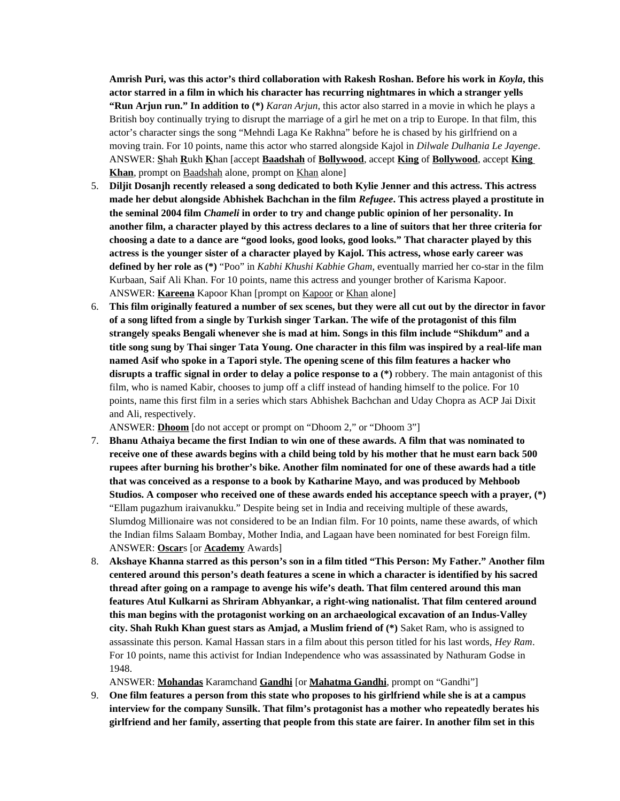**Amrish Puri, was this actor's third collaboration with Rakesh Roshan. Before his work in** *Koyla***, this actor starred in a film in which his character has recurring nightmares in which a stranger yells "Run Arjun run." In addition to (\*)** *Karan Arjun*, this actor also starred in a movie in which he plays a British boy continually trying to disrupt the marriage of a girl he met on a trip to Europe. In that film, this actor's character sings the song "Mehndi Laga Ke Rakhna" before he is chased by his girlfriend on a moving train. For 10 points, name this actor who starred alongside Kajol in *Dilwale Dulhania Le Jayenge*. ANSWER: **S**hah **R**ukh **K**han [accept **Baadshah** of **Bollywood**, accept **King** of **Bollywood**, accept **King**  Khan, prompt on Baadshah alone, prompt on Khan alone]

- 5. **Diljit Dosanjh recently released a song dedicated to both Kylie Jenner and this actress. This actress made her debut alongside Abhishek Bachchan in the film** *Refugee***. This actress played a prostitute in the seminal 2004 film** *Chameli* **in order to try and change public opinion of her personality. In another film, a character played by this actress declares to a line of suitors that her three criteria for choosing a date to a dance are "good looks, good looks, good looks." That character played by this actress is the younger sister of a character played by Kajol. This actress, whose early career was defined by her role as (\*)** "Poo" in *Kabhi Khushi Kabhie Gham*, eventually married her co-star in the film Kurbaan, Saif Ali Khan. For 10 points, name this actress and younger brother of Karisma Kapoor. ANSWER: **Kareena** Kapoor Khan [prompt on Kapoor or Khan alone]
- 6. **This film originally featured a number of sex scenes, but they were all cut out by the director in favor of a song lifted from a single by Turkish singer Tarkan. The wife of the protagonist of this film strangely speaks Bengali whenever she is mad at him. Songs in this film include "Shikdum" and a title song sung by Thai singer Tata Young. One character in this film was inspired by a real-life man named Asif who spoke in a Tapori style. The opening scene of this film features a hacker who disrupts a traffic signal in order to delay a police response to a (\*)** robbery. The main antagonist of this film, who is named Kabir, chooses to jump off a cliff instead of handing himself to the police. For 10 points, name this first film in a series which stars Abhishek Bachchan and Uday Chopra as ACP Jai Dixit and Ali, respectively.

ANSWER: **Dhoom** [do not accept or prompt on "Dhoom 2," or "Dhoom 3"]

- 7. **Bhanu Athaiya became the first Indian to win one of these awards. A film that was nominated to receive one of these awards begins with a child being told by his mother that he must earn back 500 rupees after burning his brother's bike. Another film nominated for one of these awards had a title that was conceived as a response to a book by Katharine Mayo, and was produced by Mehboob Studios. A composer who received one of these awards ended his acceptance speech with a prayer, (\*)** "Ellam pugazhum iraivanukku." Despite being set in India and receiving multiple of these awards, Slumdog Millionaire was not considered to be an Indian film. For 10 points, name these awards, of which the Indian films Salaam Bombay, Mother India, and Lagaan have been nominated for best Foreign film. ANSWER: **Oscar**s [or **Academy** Awards]
- 8. **Akshaye Khanna starred as this person's son in a film titled "This Person: My Father." Another film centered around this person's death features a scene in which a character is identified by his sacred thread after going on a rampage to avenge his wife's death. That film centered around this man features Atul Kulkarni as Shriram Abhyankar, a right-wing nationalist. That film centered around this man begins with the protagonist working on an archaeological excavation of an Indus-Valley city. Shah Rukh Khan guest stars as Amjad, a Muslim friend of (\*)** Saket Ram, who is assigned to assassinate this person. Kamal Hassan stars in a film about this person titled for his last words, *Hey Ram*. For 10 points, name this activist for Indian Independence who was assassinated by Nathuram Godse in 1948.

ANSWER: **Mohandas** Karamchand **Gandhi** [or **Mahatma Gandhi**, prompt on "Gandhi"]

9. **One film features a person from this state who proposes to his girlfriend while she is at a campus interview for the company Sunsilk. That film's protagonist has a mother who repeatedly berates his girlfriend and her family, asserting that people from this state are fairer. In another film set in this**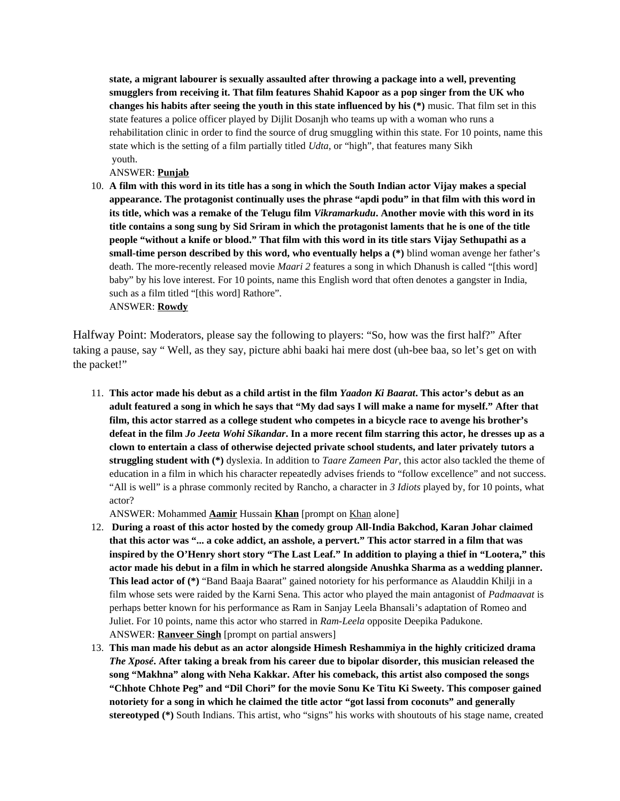**state, a migrant labourer is sexually assaulted after throwing a package into a well, preventing smugglers from receiving it. That film features Shahid Kapoor as a pop singer from the UK who changes his habits after seeing the youth in this state influenced by his (\*)** music. That film set in this state features a police officer played by Dijlit Dosanjh who teams up with a woman who runs a rehabilitation clinic in order to find the source of drug smuggling within this state. For 10 points, name this state which is the setting of a film partially titled *Udta*, or "high", that features many Sikh youth.

ANSWER: **Punjab**

10. **A film with this word in its title has a song in which the South Indian actor Vijay makes a special appearance. The protagonist continually uses the phrase "apdi podu" in that film with this word in its title, which was a remake of the Telugu film** *Vikramarkudu***. Another movie with this word in its title contains a song sung by Sid Sriram in which the protagonist laments that he is one of the title people "without a knife or blood." That film with this word in its title stars Vijay Sethupathi as a small-time person described by this word, who eventually helps a (\*)** blind woman avenge her father's death. The more-recently released movie *Maari 2* features a song in which Dhanush is called "[this word] baby" by his love interest. For 10 points, name this English word that often denotes a gangster in India, such as a film titled "[this word] Rathore". ANSWER: **Rowdy**

Halfway Point: Moderators, please say the following to players: "So, how was the first half?" After taking a pause, say " Well, as they say, picture abhi baaki hai mere dost (uh-bee baa, so let's get on with the packet!"

11. **This actor made his debut as a child artist in the film** *Yaadon Ki Baarat***. This actor's debut as an adult featured a song in which he says that "My dad says I will make a name for myself." After that film, this actor starred as a college student who competes in a bicycle race to avenge his brother's defeat in the film** *Jo Jeeta Wohi Sikandar***. In a more recent film starring this actor, he dresses up as a clown to entertain a class of otherwise dejected private school students, and later privately tutors a struggling student with (\*)** dyslexia. In addition to *Taare Zameen Par*, this actor also tackled the theme of education in a film in which his character repeatedly advises friends to "follow excellence" and not success. "All is well" is a phrase commonly recited by Rancho, a character in *3 Idiots* played by, for 10 points, what actor?

ANSWER: Mohammed **Aamir** Hussain **Khan** [prompt on Khan alone]

- 12. **During a roast of this actor hosted by the comedy group All-India Bakchod, Karan Johar claimed that this actor was "... a coke addict, an asshole, a pervert." This actor starred in a film that was inspired by the O'Henry short story "The Last Leaf." In addition to playing a thief in "Lootera," this actor made his debut in a film in which he starred alongside Anushka Sharma as a wedding planner. This lead actor of (\*)** "Band Baaja Baarat" gained notoriety for his performance as Alauddin Khilji in a film whose sets were raided by the Karni Sena. This actor who played the main antagonist of *Padmaavat* is perhaps better known for his performance as Ram in Sanjay Leela Bhansali's adaptation of Romeo and Juliet. For 10 points, name this actor who starred in *Ram-Leela* opposite Deepika Padukone. ANSWER: **Ranveer Singh** [prompt on partial answers]
- 13. **This man made his debut as an actor alongside Himesh Reshammiya in the highly criticized drama**  *The Xposé***. After taking a break from his career due to bipolar disorder, this musician released the song "Makhna" along with Neha Kakkar. After his comeback, this artist also composed the songs "Chhote Chhote Peg" and "Dil Chori" for the movie Sonu Ke Titu Ki Sweety. This composer gained notoriety for a song in which he claimed the title actor "got lassi from coconuts" and generally stereotyped (\*)** South Indians. This artist, who "signs" his works with shoutouts of his stage name, created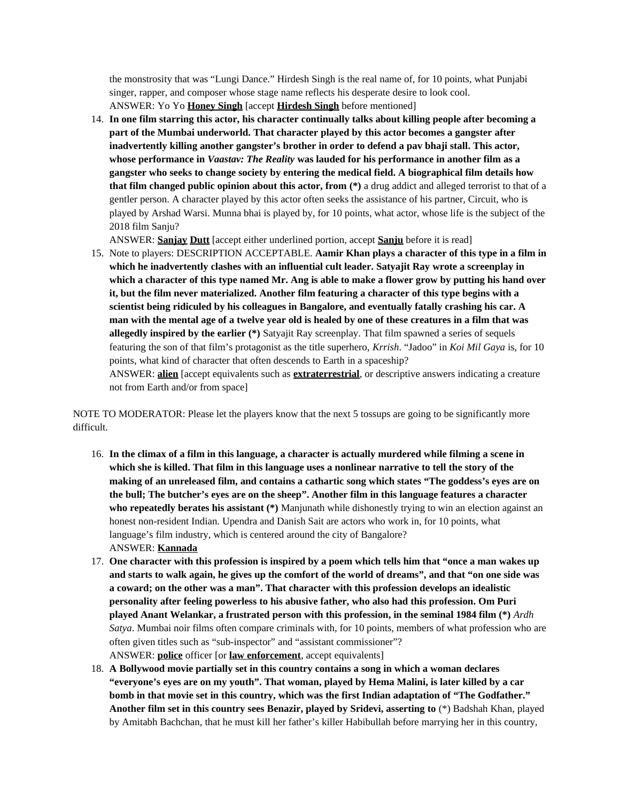the monstrosity that was "Lungi Dance." Hirdesh Singh is the real name of, for 10 points, what Punjabi singer, rapper, and composer whose stage name reflects his desperate desire to look cool. ANSWER: Yo Yo **Honey Singh** [accept **Hirdesh Singh** before mentioned]

14. **In one film starring this actor, his character continually talks about killing people after becoming a part of the Mumbai underworld. That character played by this actor becomes a gangster after inadvertently killing another gangster's brother in order to defend a pav bhaji stall. This actor, whose performance in** *Vaastav: The Reality* **was lauded for his performance in another film as a gangster who seeks to change society by entering the medical field. A biographical film details how that film changed public opinion about this actor, from (\*)** a drug addict and alleged terrorist to that of a gentler person. A character played by this actor often seeks the assistance of his partner, Circuit, who is played by Arshad Warsi. Munna bhai is played by, for 10 points, what actor, whose life is the subject of the 2018 film Sanju?

ANSWER: **Sanjay Dutt** [accept either underlined portion, accept **Sanju** before it is read]

15. Note to players: DESCRIPTION ACCEPTABLE. **Aamir Khan plays a character of this type in a film in which he inadvertently clashes with an influential cult leader. Satyajit Ray wrote a screenplay in which a character of this type named Mr. Ang is able to make a flower grow by putting his hand over it, but the film never materialized. Another film featuring a character of this type begins with a scientist being ridiculed by his colleagues in Bangalore, and eventually fatally crashing his car. A man with the mental age of a twelve year old is healed by one of these creatures in a film that was allegedly inspired by the earlier (\*)** Satyajit Ray screenplay. That film spawned a series of sequels featuring the son of that film's protagonist as the title superhero, *Krrish*. "Jadoo" in *Koi Mil Gaya* is, for 10 points, what kind of character that often descends to Earth in a spaceship?

ANSWER: **alien** [accept equivalents such as **extraterrestrial**, or descriptive answers indicating a creature not from Earth and/or from space]

NOTE TO MODERATOR: Please let the players know that the next 5 tossups are going to be significantly more difficult.

- 16. **In the climax of a film in this language, a character is actually murdered while filming a scene in which she is killed. That film in this language uses a nonlinear narrative to tell the story of the making of an unreleased film, and contains a cathartic song which states "The goddess's eyes are on the bull; The butcher's eyes are on the sheep". Another film in this language features a character who repeatedly berates his assistant (\*)** Manjunath while dishonestly trying to win an election against an honest non-resident Indian. Upendra and Danish Sait are actors who work in, for 10 points, what language's film industry, which is centered around the city of Bangalore? ANSWER: **Kannada**
- 17. **One character with this profession is inspired by a poem which tells him that "once a man wakes up and starts to walk again, he gives up the comfort of the world of dreams", and that "on one side was a coward; on the other was a man". That character with this profession develops an idealistic personality after feeling powerless to his abusive father, who also had this profession. Om Puri played Anant Welankar, a frustrated person with this profession, in the seminal 1984 film (\*)** *Ardh Satya*. Mumbai noir films often compare criminals with, for 10 points, members of what profession who are often given titles such as "sub-inspector" and "assistant commissioner"? ANSWER: **police** officer [or **law enforcement**, accept equivalents]
- 18. **A Bollywood movie partially set in this country contains a song in which a woman declares "everyone's eyes are on my youth". That woman, played by Hema Malini, is later killed by a car bomb in that movie set in this country, which was the first Indian adaptation of "The Godfather." Another film set in this country sees Benazir, played by Sridevi, asserting to** (\*) Badshah Khan, played by Amitabh Bachchan, that he must kill her father's killer Habibullah before marrying her in this country,